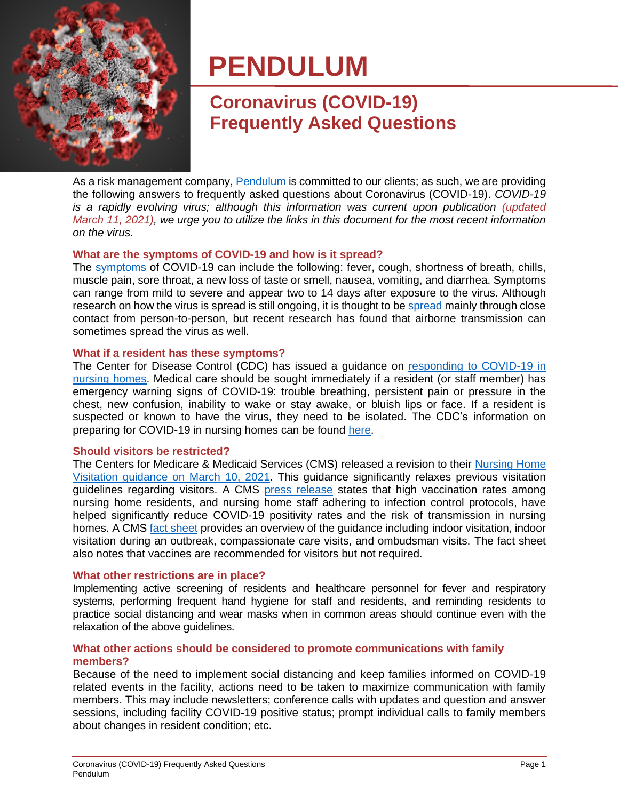

# **PENDULUM**

# **Coronavirus (COVID-19) Frequently Asked Questions**

As a risk management company, [Pendulum](https://www.wearependulum.com/) is committed to our clients; as such, we are providing the following answers to frequently asked questions about Coronavirus (COVID-19). *COVID-19 is a rapidly evolving virus; although this information was current upon publication (updated March 11, 2021), we urge you to utilize the links in this document for the most recent information on the virus.*

# **What are the symptoms of COVID-19 and how is it spread?**

The [symptoms](https://www.cdc.gov/coronavirus/2019-ncov/downloads/COVID19-symptoms.pdf) of COVID-19 can include the following: fever, cough, shortness of breath, chills, muscle pain, sore throat, a new loss of taste or smell, nausea, vomiting, and diarrhea. Symptoms can range from mild to severe and appear two to 14 days after exposure to the virus. Although research on how the virus is [spread](https://www.cdc.gov/coronavirus/2019-ncov/prevent-getting-sick/how-covid-spreads.html) is still ongoing, it is thought to be spread mainly through close contact from person-to-person, but recent research has found that airborne transmission can sometimes spread the virus as well.

# **What if a resident has these symptoms?**

The Center for Disease Control (CDC) has issued a guidance on [responding to COVID-19 in](https://www.cdc.gov/coronavirus/2019-ncov/hcp/nursing-homes-responding.html)  [nursing homes.](https://www.cdc.gov/coronavirus/2019-ncov/hcp/nursing-homes-responding.html) Medical care should be sought immediately if a resident (or staff member) has emergency warning signs of COVID-19: trouble breathing, persistent pain or pressure in the chest, new confusion, inability to wake or stay awake, or bluish lips or face. If a resident is suspected or known to have the virus, they need to be isolated. The CDC's information on preparing for COVID-19 in nursing homes can be found [here.](https://www.cdc.gov/coronavirus/2019-ncov/hcp/long-term-care.html#cases-in-facility)

# <span id="page-0-0"></span>**Should visitors be restricted?**

The Centers for Medicare & Medicaid Services (CMS) released a revision to their [Nursing Home](https://www.cms.gov/files/document/qso-20-39-nh-revised.pdf)  [Visitation guidance on March 10, 2021.](https://www.cms.gov/files/document/qso-20-39-nh-revised.pdf) This guidance significantly relaxes previous visitation guidelines regarding visitors. A CMS [press release](https://www.cms.gov/newsroom/press-releases/cms-updates-nursing-home-guidance-revised-visitation-recommendations) states that high vaccination rates among nursing home residents, and nursing home staff adhering to infection control protocols, have helped significantly reduce COVID-19 positivity rates and the risk of transmission in nursing homes. A CMS fact [sheet](https://www.cms.gov/newsroom/fact-sheets/cms-updates-nursing-home-guidance-revised-visitation-recommendations) provides an overview of the guidance including indoor visitation, indoor visitation during an outbreak, compassionate care visits, and ombudsman visits. The fact sheet also notes that vaccines are recommended for visitors but not required.

# **What other restrictions are in place?**

Implementing active screening of residents and healthcare personnel for fever and respiratory systems, performing frequent hand hygiene for staff and residents, and reminding residents to practice social distancing and wear masks when in common areas should continue even with the relaxation of the above guidelines.

# **What other actions should be considered to promote communications with family members?**

Because of the need to implement social distancing and keep families informed on COVID-19 related events in the facility, actions need to be taken to maximize communication with family members. This may include newsletters; conference calls with updates and question and answer sessions, including facility COVID-19 positive status; prompt individual calls to family members about changes in resident condition; etc.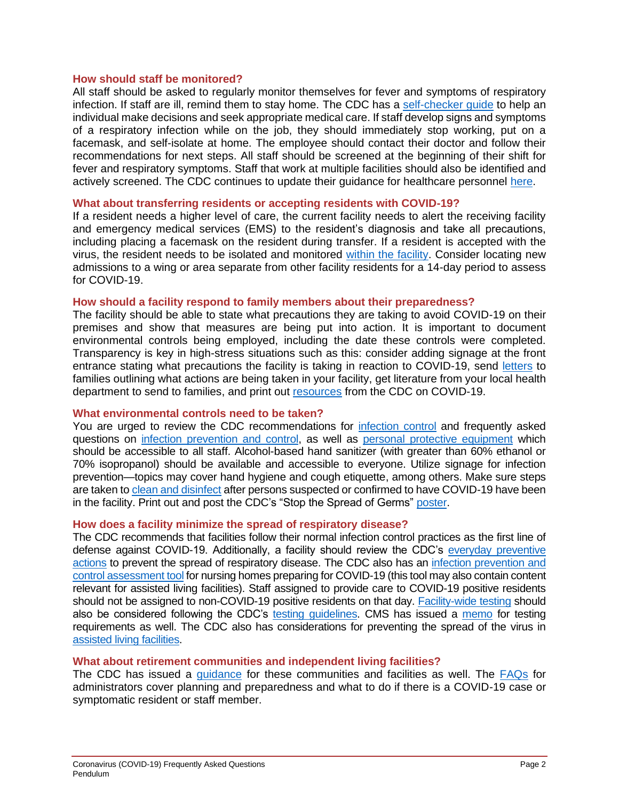# **How should staff be monitored?**

All staff should be asked to regularly monitor themselves for fever and symptoms of respiratory infection. If staff are ill, remind them to stay home. The CDC has a [self-checker guide](https://www.cdc.gov/coronavirus/2019-ncov/symptoms-testing/coronavirus-self-checker.html) to help an individual make decisions and seek appropriate medical care. If staff develop signs and symptoms of a respiratory infection while on the job, they should immediately stop working, put on a facemask, and self-isolate at home. The employee should contact their doctor and follow their recommendations for next steps. All staff should be screened at the beginning of their shift for fever and respiratory symptoms. Staff that work at multiple facilities should also be identified and actively screened. The CDC continues to update their guidance for healthcare personnel [here.](https://www.cdc.gov/coronavirus/2019-ncov/hcp/guidance-risk-assesment-hcp.html)

# **What about transferring residents or accepting residents with COVID-19?**

If a resident needs a higher level of care, the current facility needs to alert the receiving facility and emergency medical services (EMS) to the resident's diagnosis and take all precautions, including placing a facemask on the resident during transfer. If a resident is accepted with the virus, the resident needs to be isolated and monitored [within the facility.](https://www.cdc.gov/coronavirus/2019-ncov/hcp/long-term-care.html#cases-in-facility) Consider locating new admissions to a wing or area separate from other facility residents for a 14-day period to assess for COVID-19.

# **How should a facility respond to family members about their preparedness?**

The facility should be able to state what precautions they are taking to avoid COVID-19 on their premises and show that measures are being put into action. It is important to document environmental controls being employed, including the date these controls were completed. Transparency is key in high-stress situations such as this: consider adding signage at the front entrance stating what precautions the facility is taking in reaction to COVID-19, send [letters](https://www.cdc.gov/coronavirus/2019-ncov/downloads/healthcare-facilities/Long-Term-Care-letter.pdf) to families outlining what actions are being taken in your facility, get literature from your local health department to send to families, and print out [resources](https://www.cdc.gov/coronavirus/2019-ncov/communication/factsheets.html) from the CDC on COVID-19.

# **What environmental controls need to be taken?**

You are urged to review the CDC recommendations for [infection control](https://www.cdc.gov/coronavirus/2019-ncov/infection-control/control-recommendations.html) and frequently asked questions on [infection prevention and control,](https://www.cdc.gov/coronavirus/2019-ncov/hcp/faq.html?CDC_AA_refVal=https%3A%2F%2Fwww.cdc.gov%2Fcoronavirus%2F2019-ncov%2Fhcp%2Finfection-control-faq.html#Infection-Control) as well as [personal protective equipment](https://www.cdc.gov/coronavirus/2019-ncov/hcp/respirator-use-faq.html) which should be accessible to all staff. Alcohol-based hand sanitizer (with greater than 60% ethanol or 70% isopropanol) should be available and accessible to everyone. Utilize signage for infection prevention—topics may cover hand hygiene and cough etiquette, among others. Make sure steps are taken t[o clean and disinfect](https://www.cdc.gov/coronavirus/2019-ncov/community/organizations/cleaning-disinfection.html#Cleaning) after persons suspected or confirmed to have COVID-19 have been in the facility. Print out and post the CDC's "Stop the Spread of Germs" [poster.](https://www.cdc.gov/coronavirus/2019-ncov/downloads/stop-the-spread-of-germs.pdf)

# **How does a facility minimize the spread of respiratory disease?**

The CDC recommends that facilities follow their normal infection control practices as the first line of defense against COVID-19. Additionally, a facility should review the CDC's everyday preventive [actions](https://www.cdc.gov/coronavirus/2019-ncov/about/prevention-treatment.html) to prevent the spread of respiratory disease. The CDC also has an [infection prevention and](https://www.cdc.gov/coronavirus/2019-ncov/downloads/hcp/assessment-tool-nursing-homes.pdf)  [control assessment](https://www.cdc.gov/coronavirus/2019-ncov/downloads/hcp/assessment-tool-nursing-homes.pdf) tool for nursing homes preparing for COVID-19 (this tool may also contain content relevant for assisted living facilities). Staff assigned to provide care to COVID-19 positive residents should not be assigned to non-COVID-19 positive residents on that day. [Facility-wide testing](https://www.cdc.gov/coronavirus/2019-ncov/hcp/nursing-homes-facility-wide-testing.html) should also be considered following the CDC's [testing guidelines.](https://www.cdc.gov/coronavirus/2019-ncov/hcp/nursing-homes-testing.html) CMS has issued a [memo](https://www.cms.gov/files/document/qso-20-38-nh.pdf) for testing requirements as well. The CDC also has considerations for preventing the spread of the virus in [assisted living facilities.](https://www.cdc.gov/coronavirus/2019-ncov/hcp/assisted-living.html)

# **What about retirement communities and independent living facilities?**

The CDC has issued a [guidance](https://www.cdc.gov/coronavirus/2019-ncov/community/retirement/guidance-retirement-response.html) for these communities and facilities as well. The [FAQs](https://www.cdc.gov/coronavirus/2019-ncov/community/retirement/faq.html) for administrators cover planning and preparedness and what to do if there is a COVID-19 case or symptomatic resident or staff member.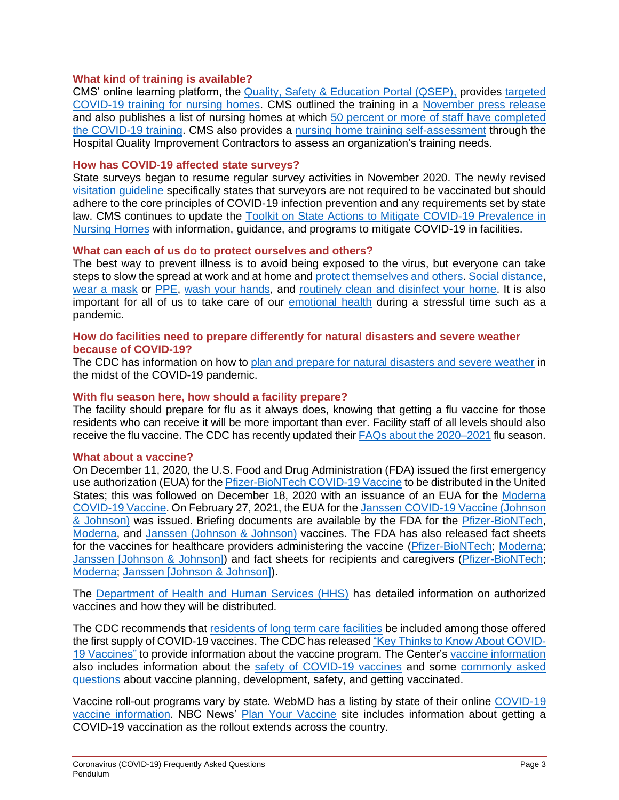# **What kind of training is available?**

CMS' online learning platform, the [Quality, Safety & Education Portal \(QSEP\),](https://qsep.cms.gov/welcome.aspx) provides [targeted](https://qsep.cms.gov/COVID-Training-Instructions.aspx)  [COVID-19 training for nursing homes.](https://qsep.cms.gov/COVID-Training-Instructions.aspx) CMS outlined the training in a [November press release](https://www.cms.gov/newsroom/press-releases/cms-releases-nursing-home-covid-19-training-data-urgent-call-action) and also publishes a list of nursing homes at which 50 percent [or more of staff have completed](https://www.cms.gov/files/document/covid-nursing-home-facilities-training-50-achievement-list.pdf)  the [COVID-19 training.](https://www.cms.gov/files/document/covid-nursing-home-facilities-training-50-achievement-list.pdf) CMS also provides a [nursing home training self-assessment](https://www.hospital-learning.org/nh-training-self-assessment/) through the Hospital Quality Improvement Contractors to assess an organization's training needs.

# **How has COVID-19 affected state surveys?**

State surveys began to resume regular survey activities in November 2020. The newly revised [visitation guideline](https://www.cms.gov/files/document/qso-20-39-nh-revised.pdf) specifically states that surveyors are not required to be vaccinated but should adhere to the core principles of COVID-19 infection prevention and any requirements set by state law. CMS continues to update the [Toolkit on State Actions to Mitigate COVID-19 Prevalence in](https://www.cms.gov/files/document/covid-toolkit-states-mitigate-covid-19-nursing-homes.pdf)  [Nursing Homes](https://www.cms.gov/files/document/covid-toolkit-states-mitigate-covid-19-nursing-homes.pdf) with information, guidance, and programs to mitigate COVID-19 in facilities.

#### **What can each of us do to protect ourselves and others?**

The best way to prevent illness is to avoid being exposed to the virus, but everyone can take steps to slow the spread at work and at home and [protect themselves and others.](https://www.cdc.gov/coronavirus/2019-ncov/prevent-getting-sick/prevention.html) [Social distance,](https://www.cdc.gov/coronavirus/2019-ncov/prevent-getting-sick/social-distancing.html) [wear a mask](https://www.cdc.gov/coronavirus/2019-ncov/prevent-getting-sick/diy-cloth-face-coverings.html) or [PPE,](https://www.cdc.gov/coronavirus/2019-ncov/hcp/using-ppe.html) [wash your hands,](https://www.cdc.gov/handwashing/when-how-handwashing.html) and [routinely clean and disinfect your home.](https://www.cdc.gov/coronavirus/2019-ncov/prevent-getting-sick/disinfecting-your-home.html) It is also important for all of us to take care of our [emotional health](https://www.cdc.gov/coronavirus/2019-ncov/daily-life-coping/managing-stress-anxiety.html?CDC_AA_refVal=https%3A%2F%2Fwww.cdc.gov%2Fcoronavirus%2F2019-ncov%2Fprepare%2Fmanaging-stress-anxiety.html) during a stressful time such as a pandemic.

#### **How do facilities need to prepare differently for natural disasters and severe weather because of COVID-19?**

The CDC has information on how to [plan and prepare for natural disasters and severe weather](https://www.cdc.gov/disasters/covid-19/covid-19_resources_for_professionals.html) in the midst of the COVID-19 pandemic.

#### **With flu season here, how should a facility prepare?**

The facility should prepare for flu as it always does, knowing that getting a flu vaccine for those residents who can receive it will be more important than ever. Facility staff of all levels should also receive the flu vaccine. The CDC has recently updated thei[r FAQs about the 2020–2021](https://www.cdc.gov/flu/season/faq-flu-season-2020-2021.htm) flu season.

#### **What about a vaccine?**

On December 11, 2020, the U.S. Food and Drug Administration (FDA) issued the first emergency use authorization (EUA) for the [Pfizer-BioNTech COVID-19 Vaccine](https://www.fda.gov/emergency-preparedness-and-response/coronavirus-disease-2019-covid-19/pfizer-biontech-covid-19-vaccine) to be distributed in the United States; this was followed on December 18, 2020 with an issuance of an EUA for the [Moderna](https://www.fda.gov/emergency-preparedness-and-response/coronavirus-disease-2019-covid-19/moderna-covid-19-vaccine)  [COVID-19 Vaccine.](https://www.fda.gov/emergency-preparedness-and-response/coronavirus-disease-2019-covid-19/moderna-covid-19-vaccine) On February 27, 2021, the EUA for th[e Janssen COVID-19 Vaccine](https://www.fda.gov/emergency-preparedness-and-response/coronavirus-disease-2019-covid-19/janssen-covid-19-vaccine) (Johnson [& Johnson\)](https://www.fda.gov/emergency-preparedness-and-response/coronavirus-disease-2019-covid-19/janssen-covid-19-vaccine) was issued. Briefing documents are available by the FDA for the [Pfizer-BioNTech,](https://www.fda.gov/media/144245/download) [Moderna,](https://www.fda.gov/media/144434/download) and Janssen [\(Johnson & Johnson\)](https://www.fda.gov/media/146217/download) vaccines. The FDA has also released fact sheets for the vaccines for healthcare providers administering the vaccine [\(Pfizer-BioNTech;](https://www.fda.gov/media/144413/download) [Moderna;](https://www.fda.gov/media/144637/download) Janssen [\[Johnson & Johnson\]\)](https://www.fda.gov/media/146304/download) and fact sheets for recipients and caregivers [\(Pfizer-BioNTech;](https://www.fda.gov/media/144414/download) [Moderna;](https://www.fda.gov/media/144638/download) Janssen [\[Johnson & Johnson\]\)](https://www.fda.gov/media/146305/download).

The [Department of Health and Human Services \(HHS\)](https://www.hhs.gov/coronavirus/covid-19-vaccines/index.html) has detailed information on authorized vaccines and how they will be distributed.

The CDC recommends that [residents of long term care facilities](https://www.cdc.gov/coronavirus/2019-ncov/vaccines/recommendations/LTCF-residents.html) be included among those offered the first supply of COVID-19 vaccines. The CDC has released ["Key Thinks to Know About COVID-](https://www.cdc.gov/coronavirus/2019-ncov/vaccines/keythingstoknow.html?CDC_AA_refVal=https%3A%2F%2Fwww.cdc.gov%2Fcoronavirus%2F2019-ncov%2Fvaccines%2F8-things.html)[19 Vaccines"](https://www.cdc.gov/coronavirus/2019-ncov/vaccines/keythingstoknow.html?CDC_AA_refVal=https%3A%2F%2Fwww.cdc.gov%2Fcoronavirus%2F2019-ncov%2Fvaccines%2F8-things.html) to provide information about the vaccine program. The Center's [vaccine information](https://www.cdc.gov/coronavirus/2019-ncov/vaccines/index.html) also includes information about the [safety of COVID-19 vaccines](https://www.cdc.gov/coronavirus/2019-ncov/vaccines/safety.html) and some [commonly asked](https://www.cdc.gov/coronavirus/2019-ncov/vaccines/faq.html)  [questions](https://www.cdc.gov/coronavirus/2019-ncov/vaccines/faq.html) about vaccine planning, development, safety, and getting vaccinated.

Vaccine roll-out programs vary by state. WebMD has a listing by state of their online [COVID-19](https://www.webmd.com/vaccines/covid-19-vaccine/news/20201224/state-by-state-guide-to-covid-vaccine-information)  [vaccine information.](https://www.webmd.com/vaccines/covid-19-vaccine/news/20201224/state-by-state-guide-to-covid-vaccine-information) NBC News' [Plan Your Vaccine](https://www.nbcnews.com/specials/plan-your-vaccine/) site includes information about getting a COVID-19 vaccination as the rollout extends across the country.